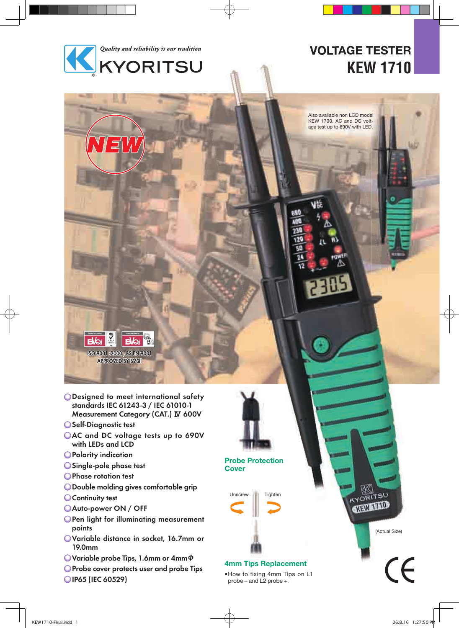

# **VOLTAGE TESTER KEW 1710**

Also available non LCD model KEW 1700. AC and DC voltage test up to 690V with LED.



 $\mathbf{R}$ 

Self-Diagnostic test

 $\sum_{\text{max}}$ 

ISO 9001:2000, BS EN 9001 **APPROVED BY BVQI** 

**Bolist** 

- AC and DC voltage tests up to 690V with LEDs and LCD
- Polarity indication
- Single-pole phase test
- **OPhase rotation test**
- Double molding gives comfortable grip
- **Continuity test**
- Auto-power ON / OFF
- **OPen light for illuminating measurement** points
- Variable distance in socket, 16.7mm or 19.0mm
- Variable probe Tips, 1.6mm or 4mmφ
- **O** Probe cover protects user and probe Tips
- OIP65 (IEC 60529)



**Probe Protection Cover**

Unscrew Tighten



#### **4mm Tips Replacement**

• How to fixing 4mm Tips on L1 probe – and L2 probe +.

(Actual Size)

 $\mathcal{C} \mathcal{L}$ 

**YORITSU NEW TAID**